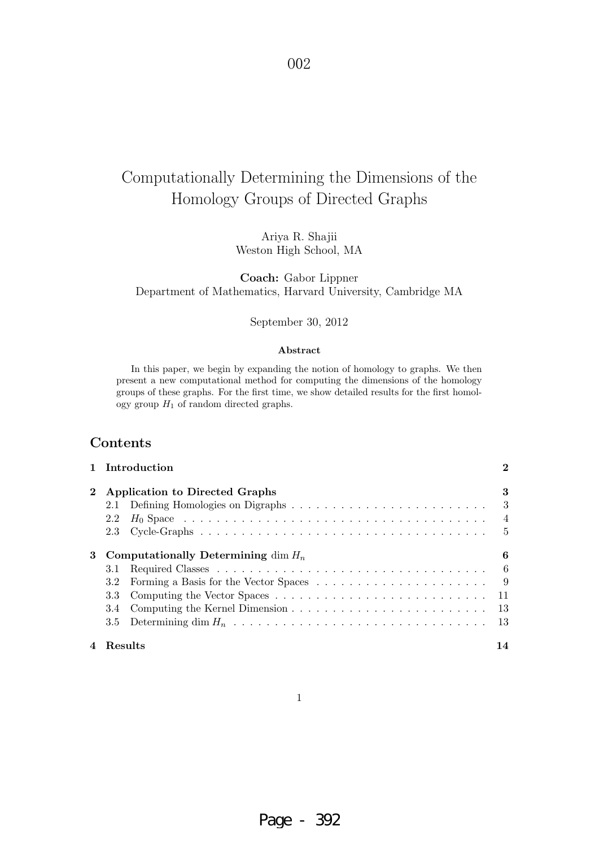# Computationally Determining the Dimensions of the Homology Groups of Directed Graphs

Ariya R. Shajii Weston High School, MA

**Coach:** Gabor Lippner Department of Mathematics, Harvard University, Cambridge MA

#### September 30, 2012

#### **Abstract**

In this paper, we begin by expanding the notion of homology to graphs. We then present a new computational method for computing the dimensions of the homology groups of these graphs. For the first time, we show detailed results for the first homology group  $H_1$  of random directed graphs.

## **Contents**

|             | 1 Introduction                        | $\bf{2}$ |
|-------------|---------------------------------------|----------|
| $2^{\circ}$ | Application to Directed Graphs        | 3        |
|             |                                       |          |
|             | 2.2                                   |          |
|             |                                       |          |
| 3           | Computationally Determining dim $H_n$ | 6        |
|             | 3.1                                   |          |
|             | 3.2                                   |          |
|             | 3.3                                   |          |
|             | 3.4                                   |          |
|             | 3.5                                   |          |
|             | 4 Results                             | 14       |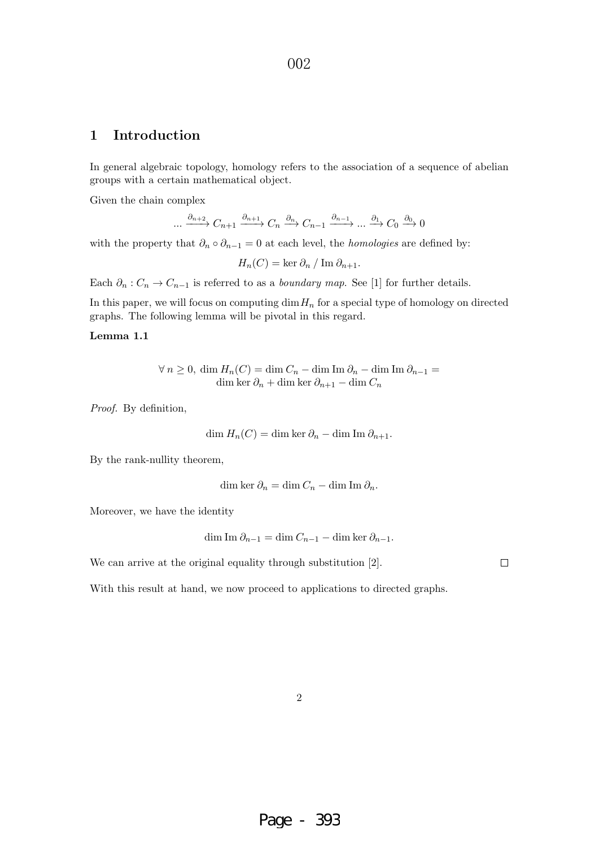## **1 Introduction**

In general algebraic topology, homology refers to the association of a sequence of abelian groups with a certain mathematical object.

Given the chain complex

$$
\dots \xrightarrow{\partial_{n+2}} C_{n+1} \xrightarrow{\partial_{n+1}} C_n \xrightarrow{\partial_n} C_{n-1} \xrightarrow{\partial_{n-1}} \dots \xrightarrow{\partial_1} C_0 \xrightarrow{\partial_0} 0
$$

with the property that  $\partial_n \circ \partial_{n-1} = 0$  at each level, the *homologies* are defined by:

$$
H_n(C) = \ker \partial_n / \operatorname{Im} \partial_{n+1}.
$$

Each  $\partial_n : C_n \to C_{n-1}$  is referred to as a *boundary map*. See [1] for further details.

In this paper, we will focus on computing  $\dim H_n$  for a special type of homology on directed graphs. The following lemma will be pivotal in this regard.

#### **Lemma 1.1**

$$
\forall n \ge 0, \dim H_n(C) = \dim C_n - \dim \text{Im } \partial_n - \dim \text{Im } \partial_{n-1} =
$$
  
dim ker  $\partial_n + \dim \text{ker } \partial_{n+1} - \dim C_n$ 

Proof. By definition,

$$
\dim H_n(C) = \dim \ker \partial_n - \dim \operatorname{Im} \partial_{n+1}.
$$

By the rank-nullity theorem,

$$
\dim \ker \partial_n = \dim C_n - \dim \operatorname{Im} \partial_n.
$$

Moreover, we have the identity

$$
\dim \mathrm{Im}\, \partial_{n-1} = \dim C_{n-1} - \dim \ker \partial_{n-1}.
$$

We can arrive at the original equality through substitution [2].

 $\Box$ 

With this result at hand, we now proceed to applications to directed graphs.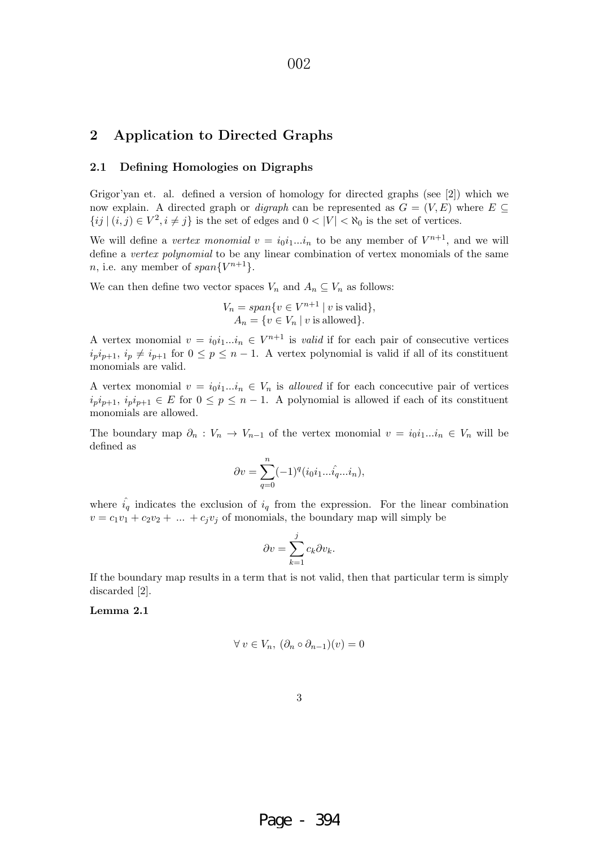### **2 Application to Directed Graphs**

#### **2.1 Defining Homologies on Digraphs**

Grigor'yan et. al. defined a version of homology for directed graphs (see [2]) which we now explain. A directed graph or *digraph* can be represented as  $G = (V, E)$  where  $E \subseteq$  $\{ij \mid (i,j) \in V^2, i \neq j\}$  is the set of edges and  $0 < |V| < \aleph_0$  is the set of vertices.

We will define a vertex monomial  $v = i_0i_1...i_n$  to be any member of  $V^{n+1}$ , and we will define a vertex polynomial to be any linear combination of vertex monomials of the same *n*, i.e. any member of  $span{V^{n+1}}$ .

We can then define two vector spaces  $V_n$  and  $A_n \subseteq V_n$  as follows:

$$
V_n = span\{v \in V^{n+1} \mid v \text{ is valid}\},\
$$

$$
A_n = \{v \in V_n \mid v \text{ is allowed}\}.
$$

A vertex monomial  $v = i_0 i_1...i_n \in V^{n+1}$  is *valid* if for each pair of consecutive vertices  $i_p i_{p+1}, i_p \neq i_{p+1}$  for  $0 \leq p \leq n-1$ . A vertex polynomial is valid if all of its constituent monomials are valid.

A vertex monomial  $v = i_0 i_1...i_n \in V_n$  is allowed if for each concecutive pair of vertices  $i_p i_{p+1}, i_p i_{p+1} \in E$  for  $0 \leq p \leq n-1$ . A polynomial is allowed if each of its constituent monomials are allowed.

The boundary map  $\partial_n: V_n \to V_{n-1}$  of the vertex monomial  $v = i_0i_1...i_n \in V_n$  will be defined as

$$
\partial v = \sum_{q=0}^{n} (-1)^q (i_0 i_1 \dots \hat{i_q} \dots i_n),
$$

where  $\hat{i}_q$  indicates the exclusion of  $i_q$  from the expression. For the linear combination  $v = c_1v_1 + c_2v_2 + \dots + c_jv_j$  of monomials, the boundary map will simply be

$$
\partial v = \sum_{k=1}^j c_k \partial v_k.
$$

If the boundary map results in a term that is not valid, then that particular term is simply discarded [2].

**Lemma 2.1**

$$
\forall v \in V_n, \ (\partial_n \circ \partial_{n-1})(v) = 0
$$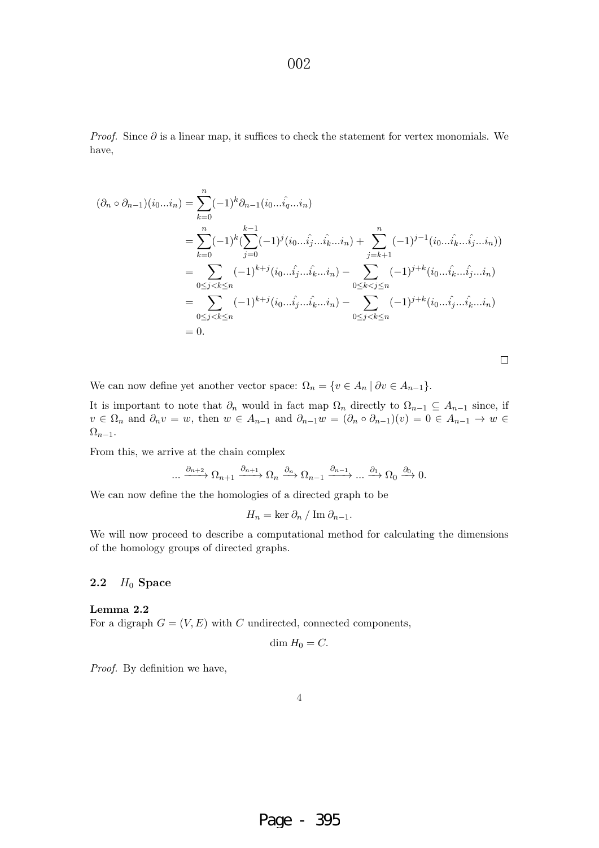*Proof.* Since  $\partial$  is a linear map, it suffices to check the statement for vertex monomials. We have,

$$
(\partial_n \circ \partial_{n-1})(i_0...i_n) = \sum_{k=0}^n (-1)^k \partial_{n-1}(i_0...i_{\hat{q}}...i_n)
$$
  
\n
$$
= \sum_{k=0}^n (-1)^k (\sum_{j=0}^{k-1} (-1)^j (i_0...i_j...i_k...i_n) + \sum_{j=k+1}^n (-1)^{j-1} (i_0...i_k...i_j...i_n))
$$
  
\n
$$
= \sum_{0 \le j < k \le n} (-1)^{k+j} (i_0...i_j...i_k...i_n) - \sum_{0 \le k < j \le n} (-1)^{j+k} (i_0...i_k...i_j...i_n)
$$
  
\n
$$
= \sum_{0 \le j < k \le n} (-1)^{k+j} (i_0...i_j...i_k...i_n) - \sum_{0 \le j < k \le n} (-1)^{j+k} (i_0...i_j...i_k...i_n)
$$
  
\n
$$
= 0.
$$

We can now define yet another vector space:  $\Omega_n = \{v \in A_n \mid \partial v \in A_{n-1}\}.$ 

It is important to note that  $\partial_n$  would in fact map  $\Omega_n$  directly to  $\Omega_{n-1} \subseteq A_{n-1}$  since, if  $v \in \Omega_n$  and  $\partial_n v = w$ , then  $w \in A_{n-1}$  and  $\partial_{n-1}w = (\partial_n \circ \partial_{n-1})(v) = 0 \in A_{n-1} \to w$  $\Omega_{n-1}$ .

From this, we arrive at the chain complex

$$
\ldots \xrightarrow{\partial_{n+2}} \Omega_{n+1} \xrightarrow{\partial_{n+1}} \Omega_n \xrightarrow{\partial_n} \Omega_{n-1} \xrightarrow{\partial_{n-1}} \ldots \xrightarrow{\partial_1} \Omega_0 \xrightarrow{\partial_0} 0.
$$

We can now define the the homologies of a directed graph to be

 $H_n = \ker \partial_n / \operatorname{Im} \partial_{n-1}.$ 

We will now proceed to describe a computational method for calculating the dimensions of the homology groups of directed graphs.

#### **2.2** H<sup>0</sup> **Space**

**Lemma 2.2** For a digraph  $G = (V, E)$  with C undirected, connected components,

$$
\dim H_0 = C.
$$

Proof. By definition we have,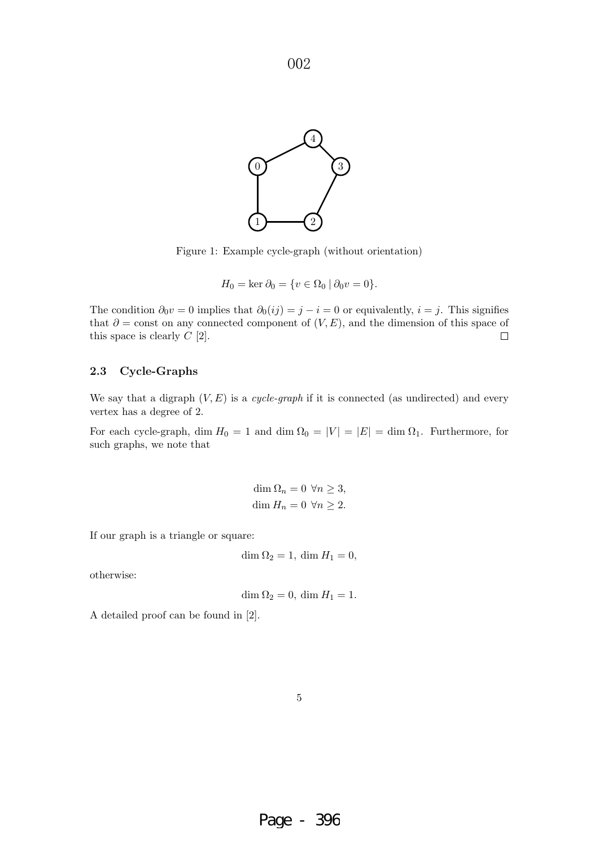

Figure 1: Example cycle-graph (without orientation)

$$
H_0 = \ker \partial_0 = \{ v \in \Omega_0 \mid \partial_0 v = 0 \}.
$$

The condition  $\partial_0 v = 0$  implies that  $\partial_0(ij) = j - i = 0$  or equivalently,  $i = j$ . This signifies that  $\partial$  = const on any connected component of  $(V, E)$ , and the dimension of this space of this space is clearly  $C$  [2].  $\Box$ 

#### **2.3 Cycle-Graphs**

We say that a digraph  $(V, E)$  is a *cycle-graph* if it is connected (as undirected) and every vertex has a degree of 2.

For each cycle-graph, dim  $H_0 = 1$  and dim  $\Omega_0 = |V| = |E| = \dim \Omega_1$ . Furthermore, for such graphs, we note that

> dim  $\Omega_n = 0 \ \forall n \geq 3$ , dim  $H_n = 0 \ \forall n \geq 2$ .

If our graph is a triangle or square:

$$
\dim \Omega_2 = 1, \, \dim H_1 = 0,
$$

otherwise:

$$
\dim \Omega_2 = 0, \, \dim H_1 = 1.
$$

A detailed proof can be found in [2].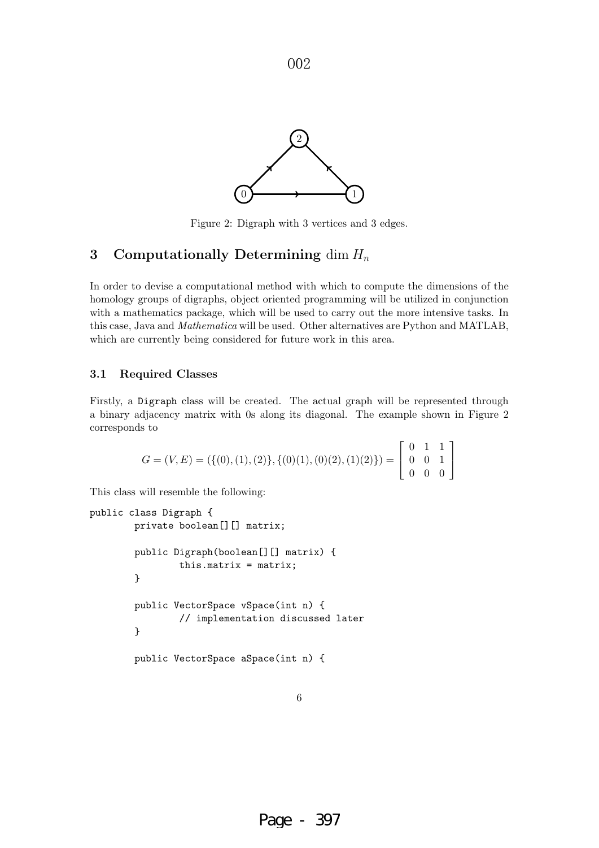

Figure 2: Digraph with 3 vertices and 3 edges.

## **3** Computationally Determining dim  $H_n$

In order to devise a computational method with which to compute the dimensions of the homology groups of digraphs, object oriented programming will be utilized in conjunction with a mathematics package, which will be used to carry out the more intensive tasks. In this case, Java and Mathematica will be used. Other alternatives are Python and MATLAB, which are currently being considered for future work in this area.

#### **3.1 Required Classes**

Firstly, a Digraph class will be created. The actual graph will be represented through a binary adjacency matrix with 0s along its diagonal. The example shown in Figure 2 corresponds to

$$
G = (V, E) = (\{(0), (1), (2)\}, \{(0)(1), (0)(2), (1)(2)\}) = \begin{bmatrix} 0 & 1 & 1 \\ 0 & 0 & 1 \\ 0 & 0 & 0 \end{bmatrix}
$$

This class will resemble the following:

```
public class Digraph {
        private boolean[][] matrix;
        public Digraph(boolean[][] matrix) {
                this.matrix = matrix;
        }
        public VectorSpace vSpace(int n) {
                // implementation discussed later
        }
        public VectorSpace aSpace(int n) {
```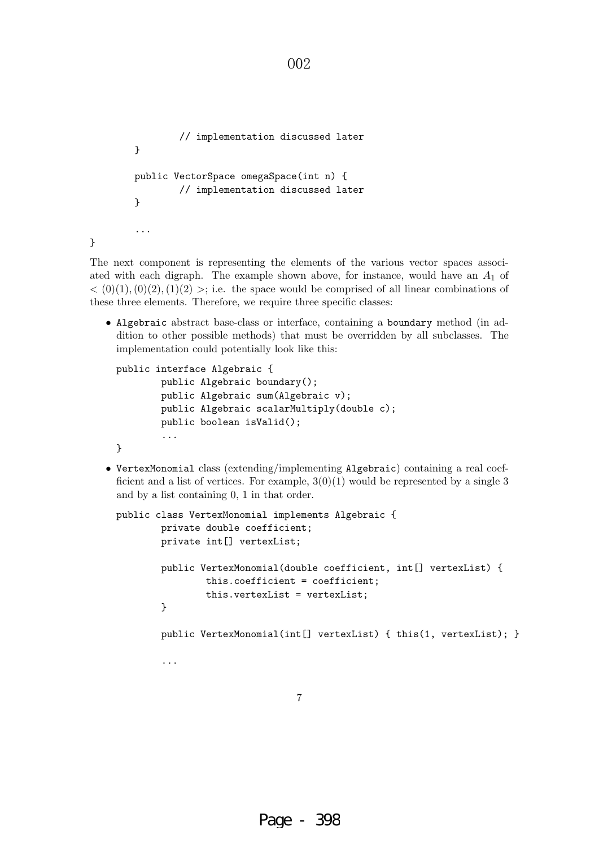```
// implementation discussed later
}
public VectorSpace omegaSpace(int n) {
        // implementation discussed later
}
...
```
}

The next component is representing the elements of the various vector spaces associated with each digraph. The example shown above, for instance, would have an  $A_1$  of  $<$  (0)(1),(0)(2),(1)(2) >; i.e. the space would be comprised of all linear combinations of these three elements. Therefore, we require three specific classes:

002

• Algebraic abstract base-class or interface, containing a boundary method (in addition to other possible methods) that must be overridden by all subclasses. The implementation could potentially look like this:

```
public interface Algebraic {
        public Algebraic boundary();
        public Algebraic sum(Algebraic v);
        public Algebraic scalarMultiply(double c);
        public boolean isValid();
        ...
}
```
• VertexMonomial class (extending/implementing Algebraic) containing a real coefficient and a list of vertices. For example,  $3(0)(1)$  would be represented by a single 3 and by a list containing 0, 1 in that order.

```
public class VertexMonomial implements Algebraic {
        private double coefficient;
        private int[] vertexList;
        public VertexMonomial(double coefficient, int[] vertexList) {
                this.coefficient = coefficient;
                this.vertexList = vertexList;
        }
        public VertexMonomial(int[] vertexList) { this(1, vertexList); }
        ...
```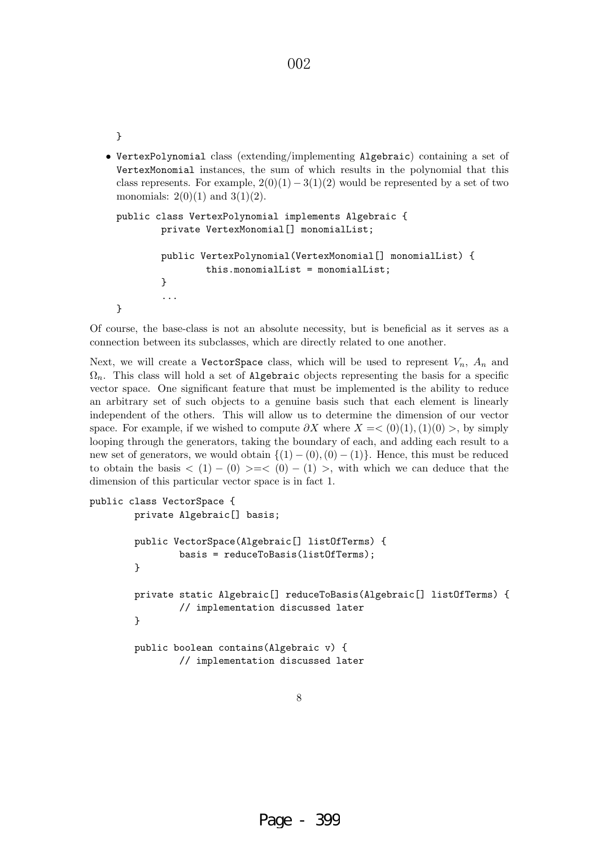• VertexPolynomial class (extending/implementing Algebraic) containing a set of VertexMonomial instances, the sum of which results in the polynomial that this class represents. For example,  $2(0)(1) - 3(1)(2)$  would be represented by a set of two monomials:  $2(0)(1)$  and  $3(1)(2)$ .

```
public class VertexPolynomial implements Algebraic {
        private VertexMonomial[] monomialList;
        public VertexPolynomial(VertexMonomial[] monomialList) {
                this.monomialList = monomialList;
        }
        ...
}
```
Of course, the base-class is not an absolute necessity, but is beneficial as it serves as a connection between its subclasses, which are directly related to one another.

Next, we will create a VectorSpace class, which will be used to represent  $V_n$ ,  $A_n$  and  $\Omega_n$ . This class will hold a set of Algebraic objects representing the basis for a specific vector space. One significant feature that must be implemented is the ability to reduce an arbitrary set of such objects to a genuine basis such that each element is linearly independent of the others. This will allow us to determine the dimension of our vector space. For example, if we wished to compute  $\partial X$  where  $X = \langle 0 \rangle (1), (1)(0) >$ , by simply looping through the generators, taking the boundary of each, and adding each result to a new set of generators, we would obtain  $\{(1) - (0), (0) - (1)\}\$ . Hence, this must be reduced to obtain the basis  $\langle 1 \rangle - (0) \rangle = \langle 0 \rangle - (1) \rangle$ , with which we can deduce that the dimension of this particular vector space is in fact 1.

```
public class VectorSpace {
       private Algebraic[] basis;
       public VectorSpace(Algebraic[] listOfTerms) {
                basis = reduceToBasis(listOfTerms);
       }
       private static Algebraic[] reduceToBasis(Algebraic[] listOfTerms) {
                // implementation discussed later
       }
       public boolean contains(Algebraic v) {
                // implementation discussed later
```

```
8
```
}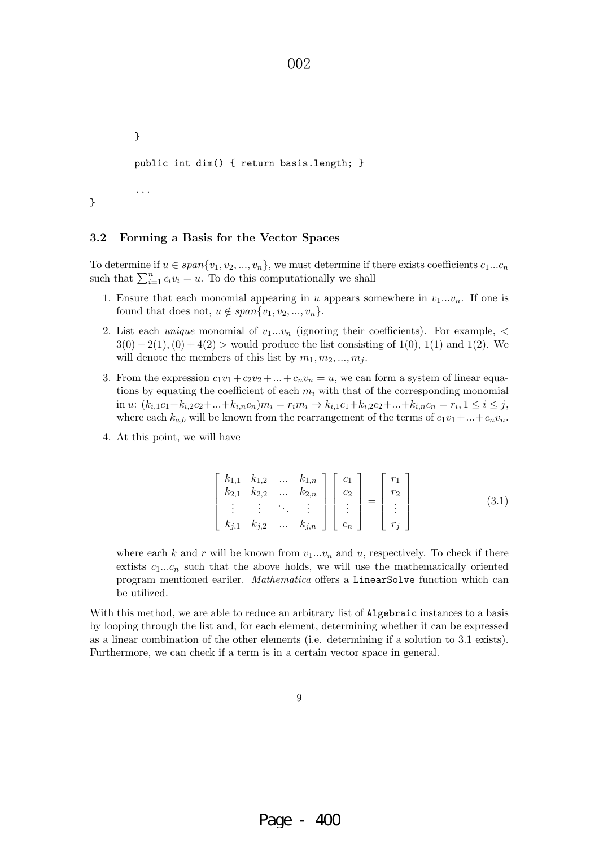} public int dim() { return basis.length; }

}

...

#### **3.2 Forming a Basis for the Vector Spaces**

To determine if  $u \in span\{v_1, v_2, ..., v_n\}$ , we must determine if there exists coefficients  $c_1...c_n$ such that  $\sum_{i=1}^{n} c_i v_i = u$ . To do this computationally we shall

002

- 1. Ensure that each monomial appearing in u appears somewhere in  $v_1...v_n$ . If one is found that does not,  $u \notin span\{v_1, v_2, ..., v_n\}.$
- 2. List each *unique* monomial of  $v_1...v_n$  (ignoring their coefficients). For example,  $\lt$  $3(0) - 2(1)$ ,  $(0) + 4(2)$  > would produce the list consisting of 1(0), 1(1) and 1(2). We will denote the members of this list by  $m_1, m_2, ..., m_j$ .
- 3. From the expression  $c_1v_1 + c_2v_2 + \ldots + c_nv_n = u$ , we can form a system of linear equations by equating the coefficient of each  $m_i$  with that of the corresponding monomial in u:  $(k_{i,1}c_1+k_{i,2}c_2+\ldots+k_{i,n}c_n)m_i = r_im_i \rightarrow k_{i,1}c_1+k_{i,2}c_2+\ldots+k_{i,n}c_n = r_i, 1 \leq i \leq j,$ where each  $k_{a,b}$  will be known from the rearrangement of the terms of  $c_1v_1+\ldots+c_nv_n$ .
- 4. At this point, we will have

$$
\begin{bmatrix} k_{1,1} & k_{1,2} & \dots & k_{1,n} \\ k_{2,1} & k_{2,2} & \dots & k_{2,n} \\ \vdots & \vdots & \ddots & \vdots \\ k_{j,1} & k_{j,2} & \dots & k_{j,n} \end{bmatrix} \begin{bmatrix} c_1 \\ c_2 \\ \vdots \\ c_n \end{bmatrix} = \begin{bmatrix} r_1 \\ r_2 \\ \vdots \\ r_j \end{bmatrix}
$$
 (3.1)

where each k and r will be known from  $v_1...v_n$  and u, respectively. To check if there extists  $c_1...c_n$  such that the above holds, we will use the mathematically oriented program mentioned eariler. Mathematica offers a LinearSolve function which can be utilized.

With this method, we are able to reduce an arbitrary list of Algebraic instances to a basis by looping through the list and, for each element, determining whether it can be expressed as a linear combination of the other elements (i.e. determining if a solution to 3.1 exists). Furthermore, we can check if a term is in a certain vector space in general.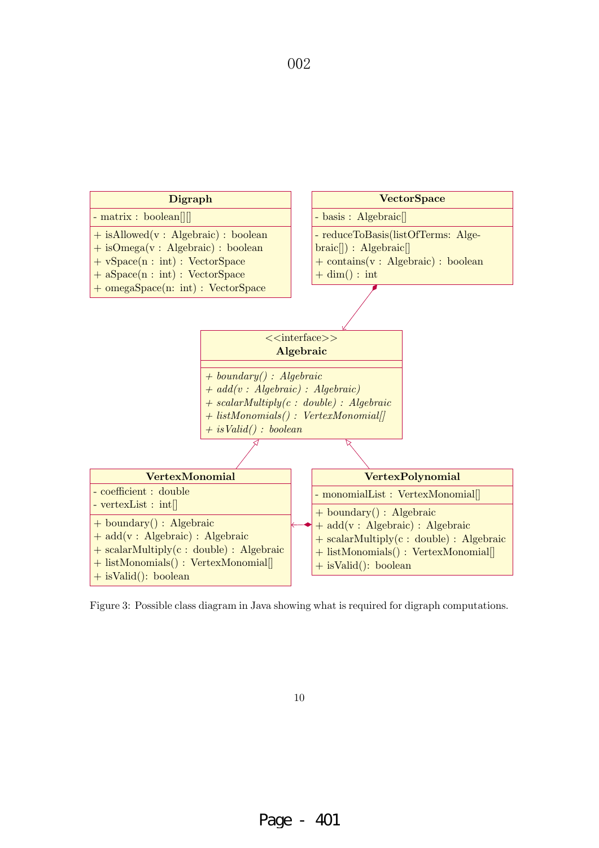

Figure 3: Possible class diagram in Java showing what is required for digraph computations.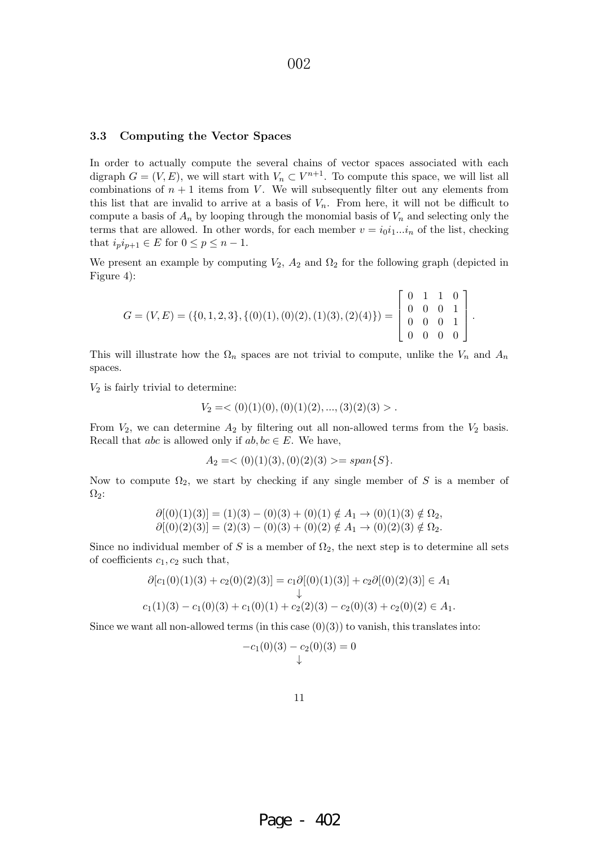#### **3.3 Computing the Vector Spaces**

In order to actually compute the several chains of vector spaces associated with each digraph  $G = (V, E)$ , we will start with  $V_n \subset V^{n+1}$ . To compute this space, we will list all combinations of  $n + 1$  items from V. We will subsequently filter out any elements from this list that are invalid to arrive at a basis of  $V_n$ . From here, it will not be difficult to compute a basis of  $A_n$  by looping through the monomial basis of  $V_n$  and selecting only the terms that are allowed. In other words, for each member  $v = i_0 i_1...i_n$  of the list, checking that  $i_p i_{p+1} \in E$  for  $0 \le p \le n-1$ .

We present an example by computing  $V_2$ ,  $A_2$  and  $\Omega_2$  for the following graph (depicted in Figure 4):

$$
G = (V, E) = (\{0, 1, 2, 3\}, \{(0)(1), (0)(2), (1)(3), (2)(4)\}) = \begin{bmatrix} 0 & 1 & 1 & 0 \\ 0 & 0 & 0 & 1 \\ 0 & 0 & 0 & 1 \\ 0 & 0 & 0 & 0 \end{bmatrix}.
$$

This will illustrate how the  $\Omega_n$  spaces are not trivial to compute, unlike the  $V_n$  and  $A_n$ spaces.

 $V_2$  is fairly trivial to determine:

$$
V_2 = \langle 0(1)(0), (0)(1)(2), \ldots, (3)(2)(3) \rangle.
$$

From  $V_2$ , we can determine  $A_2$  by filtering out all non-allowed terms from the  $V_2$  basis. Recall that *abc* is allowed only if  $ab, bc \in E$ . We have,

$$
A_2 = <(0)(1)(3), (0)(2)(3) >= span{S}.
$$

Now to compute  $\Omega_2$ , we start by checking if any single member of S is a member of  $\Omega_2$ :

$$
\partial[(0)(1)(3)] = (1)(3) - (0)(3) + (0)(1) \notin A_1 \to (0)(1)(3) \notin \Omega_2,\n\partial[(0)(2)(3)] = (2)(3) - (0)(3) + (0)(2) \notin A_1 \to (0)(2)(3) \notin \Omega_2.
$$

Since no individual member of S is a member of  $\Omega_2$ , the next step is to determine all sets of coefficients  $c_1, c_2$  such that,

$$
\partial[c_1(0)(1)(3) + c_2(0)(2)(3)] = c_1 \partial[(0)(1)(3)] + c_2 \partial[(0)(2)(3)] \in A_1
$$
  
\n
$$
c_1(1)(3) - c_1(0)(3) + c_1(0)(1) + c_2(2)(3) - c_2(0)(3) + c_2(0)(2) \in A_1.
$$

Since we want all non-allowed terms (in this case  $(0)(3)$ ) to vanish, this translates into:

$$
-c_1(0)(3) - c_2(0)(3) = 0
$$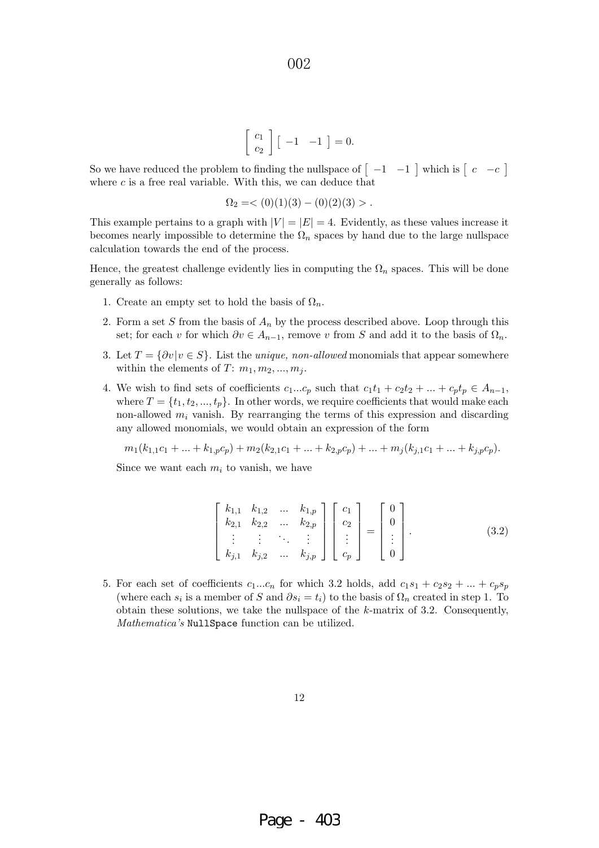$$
\left[\begin{array}{c} c_1 \\ c_2 \end{array}\right] \left[\begin{array}{cc} -1 & -1 \end{array}\right] = 0.
$$

So we have reduced the problem to finding the nullspace of  $\begin{bmatrix} -1 & -1 \end{bmatrix}$  which is  $\begin{bmatrix} c & -c \end{bmatrix}$ where  $c$  is a free real variable. With this, we can deduce that

$$
\Omega_2 = \langle 0 \rangle(1)(3) - (0)(2)(3) > .
$$

This example pertains to a graph with  $|V| = |E| = 4$ . Evidently, as these values increase it becomes nearly impossible to determine the  $\Omega_n$  spaces by hand due to the large nullspace calculation towards the end of the process.

Hence, the greatest challenge evidently lies in computing the  $\Omega_n$  spaces. This will be done generally as follows:

- 1. Create an empty set to hold the basis of  $\Omega_n$ .
- 2. Form a set S from the basis of  $A_n$  by the process described above. Loop through this set; for each v for which  $\partial v \in A_{n-1}$ , remove v from S and add it to the basis of  $\Omega_n$ .
- 3. Let  $T = \{\partial v | v \in S\}$ . List the *unique, non-allowed* monomials that appear somewhere within the elements of  $T: m_1, m_2, ..., m_j$ .
- 4. We wish to find sets of coefficients  $c_1...c_p$  such that  $c_1t_1 + c_2t_2 + ... + c_pt_p \in A_{n-1}$ , where  $T = \{t_1, t_2, ..., t_p\}$ . In other words, we require coefficients that would make each non-allowed  $m_i$  vanish. By rearranging the terms of this expression and discarding any allowed monomials, we would obtain an expression of the form

$$
m_1(k_{1,1}c_1 + \ldots + k_{1,p}c_p) + m_2(k_{2,1}c_1 + \ldots + k_{2,p}c_p) + \ldots + m_j(k_{j,1}c_1 + \ldots + k_{j,p}c_p).
$$

Since we want each  $m_i$  to vanish, we have

$$
\begin{bmatrix} k_{1,1} & k_{1,2} & \dots & k_{1,p} \\ k_{2,1} & k_{2,2} & \dots & k_{2,p} \\ \vdots & \vdots & \ddots & \vdots \\ k_{j,1} & k_{j,2} & \dots & k_{j,p} \end{bmatrix} \begin{bmatrix} c_1 \\ c_2 \\ \vdots \\ c_p \end{bmatrix} = \begin{bmatrix} 0 \\ 0 \\ \vdots \\ 0 \end{bmatrix}.
$$
 (3.2)

5. For each set of coefficients  $c_1...c_n$  for which 3.2 holds, add  $c_1s_1 + c_2s_2 + ... + c_ps_p$ (where each  $s_i$  is a member of S and  $\partial s_i = t_i$ ) to the basis of  $\Omega_n$  created in step 1. To obtain these solutions, we take the nullspace of the k-matrix of 3.2. Consequently, Mathematica's NullSpace function can be utilized.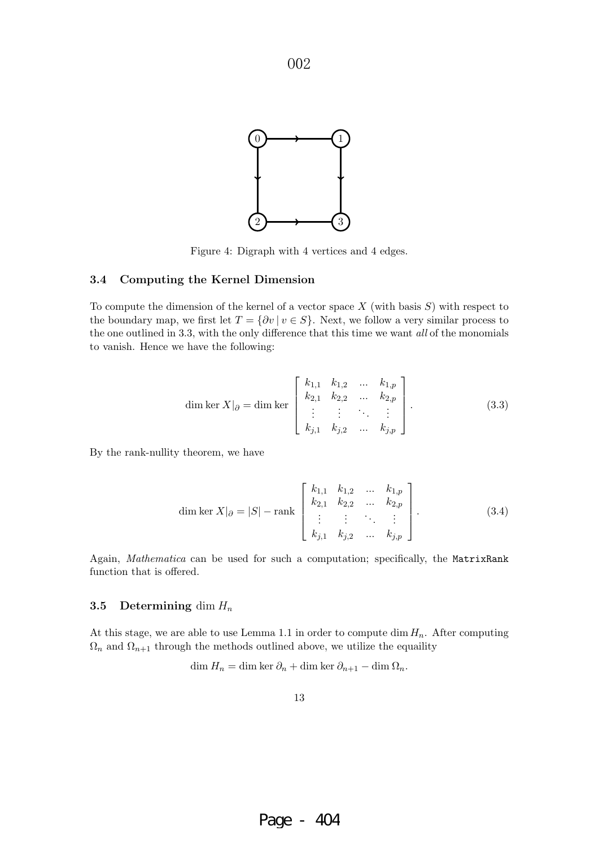

Figure 4: Digraph with 4 vertices and 4 edges.

#### **3.4 Computing the Kernel Dimension**

To compute the dimension of the kernel of a vector space  $X$  (with basis  $S$ ) with respect to the boundary map, we first let  $T = \{ \partial v \mid v \in S \}$ . Next, we follow a very similar process to the one outlined in 3.3, with the only difference that this time we want all of the monomials to vanish. Hence we have the following:

dim ker 
$$
X|_{\partial} = \dim \ker \begin{bmatrix} k_{1,1} & k_{1,2} & \dots & k_{1,p} \\ k_{2,1} & k_{2,2} & \dots & k_{2,p} \\ \vdots & \vdots & \ddots & \vdots \\ k_{j,1} & k_{j,2} & \dots & k_{j,p} \end{bmatrix}
$$
. (3.3)

By the rank-nullity theorem, we have

dim ker 
$$
X|_{\partial} = |S| - \text{rank}\left[\begin{array}{cccc} k_{1,1} & k_{1,2} & \dots & k_{1,p} \\ k_{2,1} & k_{2,2} & \dots & k_{2,p} \\ \vdots & \vdots & \ddots & \vdots \\ k_{j,1} & k_{j,2} & \dots & k_{j,p} \end{array}\right].
$$
 (3.4)

Again, Mathematica can be used for such a computation; specifically, the MatrixRank function that is offered.

#### **3.5 Determining** dim  $H_n$

At this stage, we are able to use Lemma 1.1 in order to compute dim  $H_n$ . After computing  $\Omega_n$  and  $\Omega_{n+1}$  through the methods outlined above, we utilize the equality

$$
\dim H_n = \dim \ker \partial_n + \dim \ker \partial_{n+1} - \dim \Omega_n.
$$

13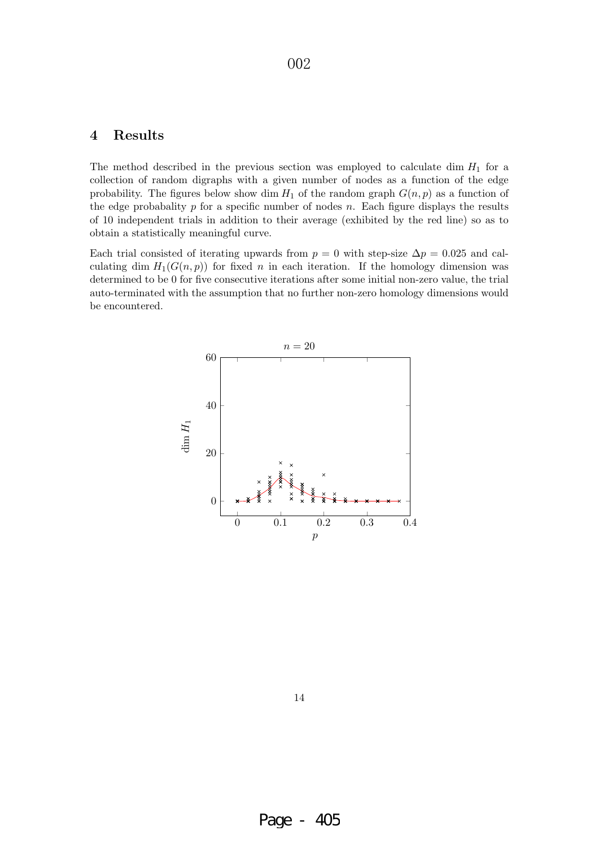## **4 Results**

The method described in the previous section was employed to calculate dim  $H_1$  for a collection of random digraphs with a given number of nodes as a function of the edge probability. The figures below show dim  $H_1$  of the random graph  $G(n, p)$  as a function of the edge probabality  $p$  for a specific number of nodes  $n$ . Each figure displays the results of 10 independent trials in addition to their average (exhibited by the red line) so as to obtain a statistically meaningful curve.

Each trial consisted of iterating upwards from  $p = 0$  with step-size  $\Delta p = 0.025$  and calculating dim  $H_1(G(n, p))$  for fixed n in each iteration. If the homology dimension was determined to be 0 for five consecutive iterations after some initial non-zero value, the trial auto-terminated with the assumption that no further non-zero homology dimensions would be encountered.

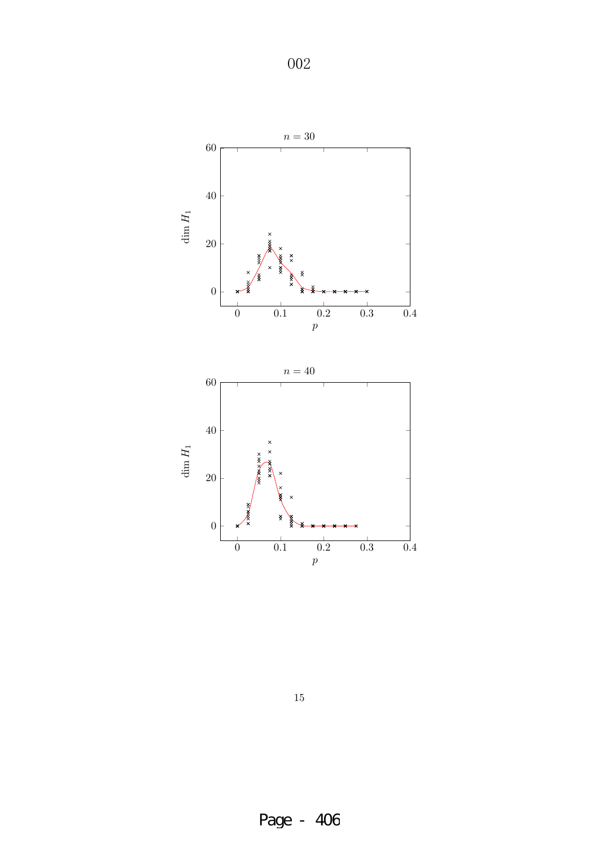

15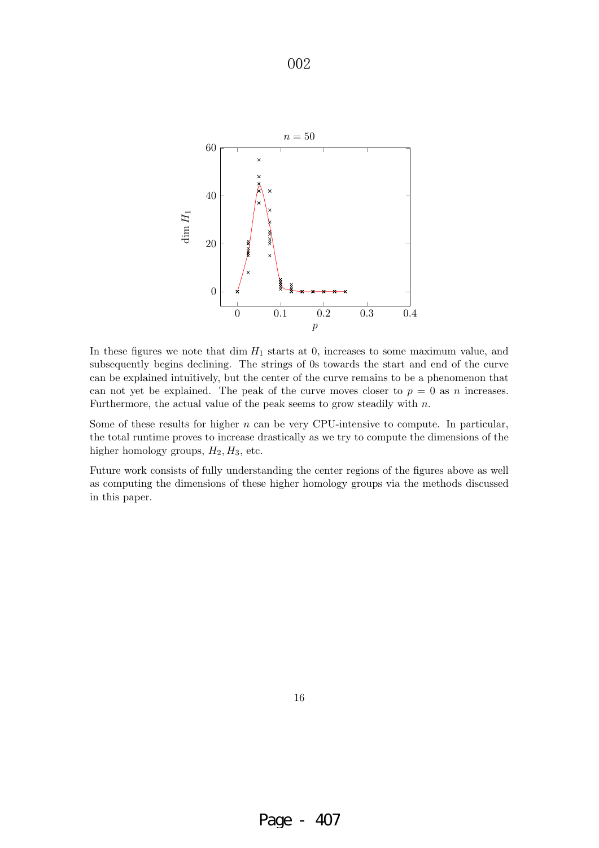

In these figures we note that dim  $H_1$  starts at 0, increases to some maximum value, and subsequently begins declining. The strings of 0s towards the start and end of the curve can be explained intuitively, but the center of the curve remains to be a phenomenon that can not yet be explained. The peak of the curve moves closer to  $p = 0$  as n increases. Furthermore, the actual value of the peak seems to grow steadily with  $n$ .

Some of these results for higher  $n$  can be very CPU-intensive to compute. In particular, the total runtime proves to increase drastically as we try to compute the dimensions of the higher homology groups,  $H_2, H_3$ , etc.

Future work consists of fully understanding the center regions of the figures above as well as computing the dimensions of these higher homology groups via the methods discussed in this paper.